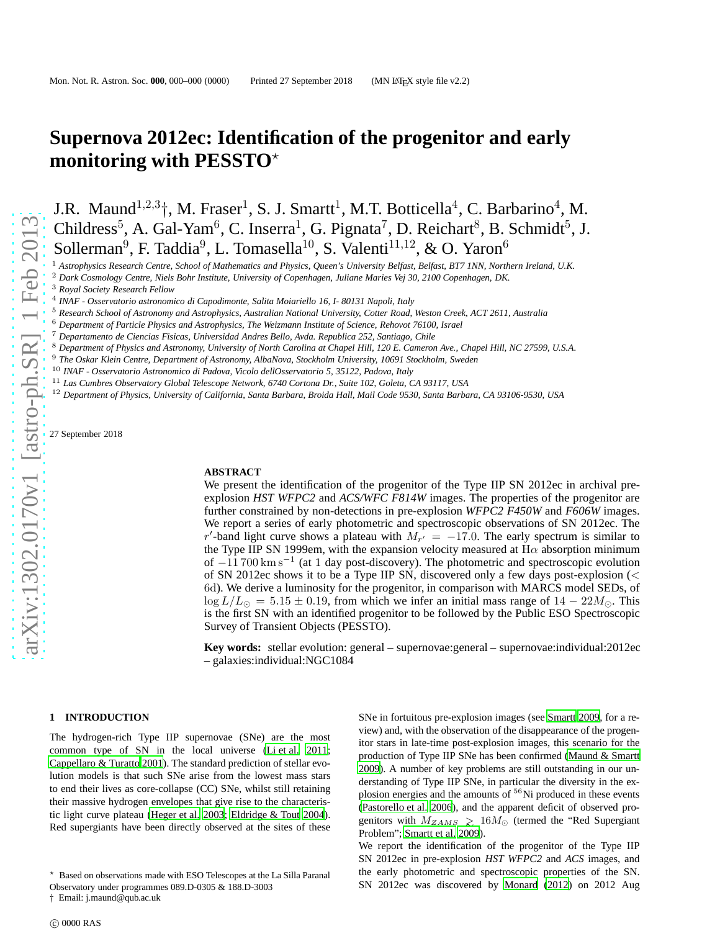# **Supernova 2012ec: Identification of the progenitor and early monitoring with PESSTO**<sup>\*</sup>

J.R. Maund<sup>1,2,3</sup><sup>+</sup>, M. Fraser<sup>1</sup>, S. J. Smartt<sup>1</sup>, M.T. Botticella<sup>4</sup>, C. Barbarino<sup>4</sup>, M. Childress<sup>5</sup>, A. Gal-Yam<sup>6</sup>, C. Inserra<sup>1</sup>, G. Pignata<sup>7</sup>, D. Reichart<sup>8</sup>, B. Schmidt<sup>5</sup>, J. Sollerman<sup>9</sup>, F. Taddia<sup>9</sup>, L. Tomasella<sup>10</sup>, S. Valenti<sup>11,12</sup>, & O. Yaron<sup>6</sup>

<sup>1</sup> *Astrophysics Research Centre, School of Mathematics and Physics, Queen's University Belfast, Belfast, BT7 1NN, Northern Ireland, U.K.*

<sup>2</sup> *Dark Cosmology Centre, Niels Bohr Institute, University of Copenhagen, Juliane Maries Vej 30, 2100 Copenhagen, DK.*

<sup>3</sup> *Royal Society Research Fellow*

4 *INAF - Osservatorio astronomico di Capodimonte, Salita Moiariello 16, I- 80131 Napoli, Italy*

<sup>5</sup> *Research School of Astronomy and Astrophysics, Australian National University, Cotter Road, Weston Creek, ACT 2611, Australia*

<sup>6</sup> *Department of Particle Physics and Astrophysics, The Weizmann Institute of Science, Rehovot 76100, Israel*

<sup>7</sup> *Departamento de Ciencias Fisicas, Universidad Andres Bello, Avda. Republica 252, Santiago, Chile*

<sup>8</sup> *Department of Physics and Astronomy, University of North Carolina at Chapel Hill, 120 E. Cameron Ave., Chapel Hill, NC 27599, U.S.A.*

<sup>9</sup> *The Oskar Klein Centre, Department of Astronomy, AlbaNova, Stockholm University, 10691 Stockholm, Sweden*

<sup>10</sup> *INAF - Osservatorio Astronomico di Padova, Vicolo dellOsservatorio 5, 35122, Padova, Italy*

<sup>11</sup> *Las Cumbres Observatory Global Telescope Network, 6740 Cortona Dr., Suite 102, Goleta, CA 93117, USA*

<sup>12</sup> *Department of Physics, University of California, Santa Barbara, Broida Hall, Mail Code 9530, Santa Barbara, CA 93106-9530, USA*

27 September 2018

#### **ABSTRACT**

We present the identification of the progenitor of the Type IIP SN 2012ec in archival preexplosion *HST WFPC2* and *ACS/WFC F814W* images. The properties of the progenitor are further constrained by non-detections in pre-explosion *WFPC2 F450W* and *F606W* images. We report a series of early photometric and spectroscopic observations of SN 2012ec. The r'-band light curve shows a plateau with  $M_{r'} = -17.0$ . The early spectrum is similar to the Type IIP SN 1999em, with the expansion velocity measured at  $H\alpha$  absorption minimum of −11 700 km s<sup>-1</sup> (at 1 day post-discovery). The photometric and spectroscopic evolution of SN 2012ec shows it to be a Type IIP SN, discovered only a few days post-explosion (< 6d). We derive a luminosity for the progenitor, in comparison with MARCS model SEDs, of  $\log L/L_{\odot} = 5.15 \pm 0.19$ , from which we infer an initial mass range of  $14 - 22M_{\odot}$ . This is the first SN with an identified progenitor to be followed by the Public ESO Spectroscopic Survey of Transient Objects (PESSTO).

**Key words:** stellar evolution: general – supernovae:general – supernovae:individual:2012ec – galaxies:individual:NGC1084

#### **1 INTRODUCTION**

The hydrogen-rich Type IIP supernovae (SNe) are the most common type of SN in the local universe [\(Li et al. 2011;](#page-4-0) [Cappellaro & Turatto 2001\)](#page-3-0). The standard prediction of stellar evolution models is that such SNe arise from the lowest mass stars to end their lives as core-collapse (CC) SNe, whilst still retaining their massive hydrogen envelopes that give rise to the characteristic light curve plateau [\(Heger et al. 2003;](#page-4-1) [Eldridge & Tout 2004\)](#page-3-1). Red supergiants have been directly observed at the sites of these

† Email: j.maund@qub.ac.uk

SNe in fortuitous pre-explosion images (see [Smartt 2009](#page-4-2), for a review) and, with the observation of the disappearance of the progenitor stars in late-time post-explosion images, this scenario for the production of Type IIP SNe has been confirmed [\(Maund & Smartt](#page-4-3) [2009](#page-4-3)). A number of key problems are still outstanding in our understanding of Type IIP SNe, in particular the diversity in the explosion energies and the amounts of <sup>56</sup>Ni produced in these events [\(Pastorello et al. 2006](#page-4-4)), and the apparent deficit of observed progenitors with  $M_{ZAMS} \gtrsim 16 M_{\odot}$  (termed the "Red Supergiant Problem"; [Smartt et al. 2009\)](#page-4-5).

We report the identification of the progenitor of the Type IIP SN 2012ec in pre-explosion *HST WFPC2* and *ACS* images, and the early photometric and spectroscopic properties of the SN. SN 2012ec was discovered by [Monard](#page-4-6) [\(2012](#page-4-6)) on 2012 Aug

<sup>⋆</sup> Based on observations made with ESO Telescopes at the La Silla Paranal

Observatory under programmes 089.D-0305 & 188.D-3003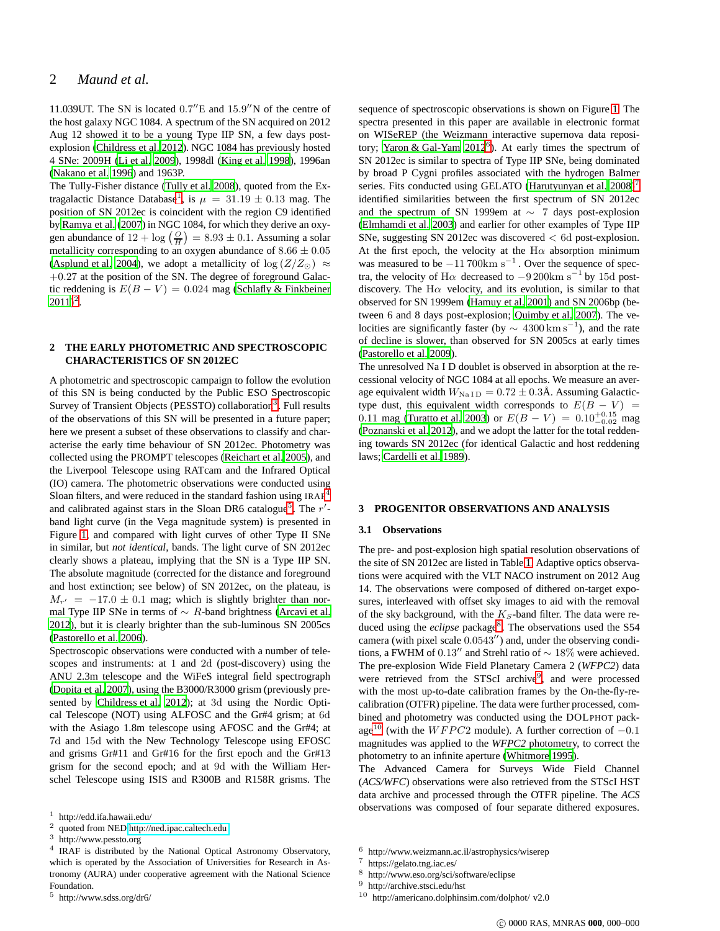11.039UT. The SN is located 0.7" E and 15.9" N of the centre of the host galaxy NGC 1084. A spectrum of the SN acquired on 2012 Aug 12 showed it to be a young Type IIP SN, a few days postexplosion [\(Childress et al. 2012](#page-3-2)). NGC 1084 has previously hosted 4 SNe: 2009H [\(Li et al. 2009](#page-4-7)), 1998dl [\(King et al. 1998](#page-4-8)), 1996an [\(Nakano et al. 1996\)](#page-4-9) and 1963P.

The Tully-Fisher distance [\(Tully et al. 2008\)](#page-4-10), quoted from the Ex-tragalactic Distance Database<sup>[1](#page-1-0)</sup>, is  $\mu = 31.19 \pm 0.13$  mag. The position of SN 2012ec is coincident with the region C9 identified by [Ramya et al. \(2007\)](#page-4-11) in NGC 1084, for which they derive an oxygen abundance of  $12 + \log \left( \frac{O}{H} \right) = 8.93 \pm 0.1$ . Assuming a solar metallicity corresponding to an oxygen abundance of  $8.66 \pm 0.05$ [\(Asplund et al. 2004\)](#page-3-3), we adopt a metallicity of  $\log(Z/Z_{\odot}) \approx$  $+0.27$  at the position of the SN. The degree of foreground Galactic reddening is  $E(B - V) = 0.024$  mag [\(Schlafly & Finkbeiner](#page-4-12)  $2011)^2$  $2011)^2$  $2011)^2$ .

# <span id="page-1-10"></span>**2 THE EARLY PHOTOMETRIC AND SPECTROSCOPIC CHARACTERISTICS OF SN 2012EC**

A photometric and spectroscopic campaign to follow the evolution of this SN is being conducted by the Public ESO Spectroscopic Survey of Transient Objects (PESSTO) collaboration<sup>[3](#page-1-2)</sup>. Full results of the observations of this SN will be presented in a future paper; here we present a subset of these observations to classify and characterise the early time behaviour of SN 2012ec. Photometry was collected using the PROMPT telescopes [\(Reichart et al. 2005\)](#page-4-13), and the Liverpool Telescope using RATcam and the Infrared Optical (IO) camera. The photometric observations were conducted using Sloan filters, and were reduced in the standard fashion using  $IRAF<sup>4</sup>$  $IRAF<sup>4</sup>$  $IRAF<sup>4</sup>$ and calibrated against stars in the Sloan DR6 catalogue<sup>[5](#page-1-4)</sup>. The  $r'$ band light curve (in the Vega magnitude system) is presented in Figure [1,](#page-2-0) and compared with light curves of other Type II SNe in similar, but *not identical*, bands. The light curve of SN 2012ec clearly shows a plateau, implying that the SN is a Type IIP SN. The absolute magnitude (corrected for the distance and foreground and host extinction; see below) of SN 2012ec, on the plateau, is  $M_{r'} = -17.0 \pm 0.1$  mag; which is slightly brighter than normal Type IIP SNe in terms of  $\sim R$ -band brightness [\(Arcavi et al.](#page-3-4) [2012\)](#page-3-4), but it is clearly brighter than the sub-luminous SN 2005cs [\(Pastorello et al. 2006](#page-4-4)).

Spectroscopic observations were conducted with a number of telescopes and instruments: at 1 and 2d (post-discovery) using the ANU 2.3m telescope and the WiFeS integral field spectrograph [\(Dopita et al. 2007\)](#page-3-5), using the B3000/R3000 grism (previously presented by [Childress et al. 2012\)](#page-3-2); at 3d using the Nordic Optical Telescope (NOT) using ALFOSC and the Gr#4 grism; at 6d with the Asiago 1.8m telescope using AFOSC and the Gr#4; at 7d and 15d with the New Technology Telescope using EFOSC and grisms Gr#11 and Gr#16 for the first epoch and the Gr#13 grism for the second epoch; and at 9d with the William Herschel Telescope using ISIS and R300B and R158R grisms. The sequence of spectroscopic observations is shown on Figure [1.](#page-2-0) The spectra presented in this paper are available in electronic format on WISeREP (the Weizmann interactive supernova data repository; Yaron & Gal-Yam  $2012^6$  $2012^6$ ). At early times the spectrum of SN 2012ec is similar to spectra of Type IIP SNe, being dominated by broad P Cygni profiles associated with the hydrogen Balmer series. Fits conducted using GELATO (Harutyunyan et al.  $2008$ )<sup>[7](#page-1-6)</sup> identified similarities between the first spectrum of SN 2012ec and the spectrum of SN 1999em at ∼ 7 days post-explosion [\(Elmhamdi et al. 2003\)](#page-4-15) and earlier for other examples of Type IIP SNe, suggesting SN 2012ec was discovered < 6d post-explosion. At the first epoch, the velocity at the  $H\alpha$  absorption minimum was measured to be  $-11700 \text{km s}^{-1}$ . Over the sequence of spectra, the velocity of H $\alpha$  decreased to  $-9200 \text{km s}^{-1}$  by 15d postdiscovery. The H $\alpha$  velocity, and its evolution, is similar to that observed for SN 1999em [\(Hamuy et al. 2001](#page-4-16)) and SN 2006bp (between 6 and 8 days post-explosion; [Quimby et al. 2007\)](#page-4-17). The velocities are significantly faster (by  $\sim 4300 \,\mathrm{km \, s}^{-1}$ ), and the rate of decline is slower, than observed for SN 2005cs at early times [\(Pastorello et al. 2009\)](#page-4-18).

The unresolved Na I D doublet is observed in absorption at the recessional velocity of NGC 1084 at all epochs. We measure an average equivalent width  $W_{\text{NaID}} = 0.72 \pm 0.3$ Å. Assuming Galactictype dust, this equivalent width corresponds to  $E(B - V)$  = 0.11 mag [\(Turatto et al. 2003](#page-4-19)) or  $E(B-V) = 0.10^{+0.15}_{-0.02}$  mag [\(Poznanski et al. 2012](#page-4-20)), and we adopt the latter for the total reddening towards SN 2012ec (for identical Galactic and host reddening laws; [Cardelli et al. 1989\)](#page-3-6).

#### **3 PROGENITOR OBSERVATIONS AND ANALYSIS**

#### **3.1 Observations**

The pre- and post-explosion high spatial resolution observations of the site of SN 2012ec are listed in Table [1.](#page-2-1) Adaptive optics observations were acquired with the VLT NACO instrument on 2012 Aug 14. The observations were composed of dithered on-target exposures, interleaved with offset sky images to aid with the removal of the sky background, with the  $K_S$ -band filter. The data were reduced using the *eclipse* package<sup>[8](#page-1-7)</sup>. The observations used the S54 camera (with pixel scale 0.0543′′) and, under the observing conditions, a FWHM of 0.13′′ and Strehl ratio of ∼ 18% were achieved. The pre-explosion Wide Field Planetary Camera 2 (*WFPC2*) data were retrieved from the STScI archive<sup>[9](#page-1-8)</sup>, and were processed with the most up-to-date calibration frames by the On-the-fly-recalibration (OTFR) pipeline. The data were further processed, combined and photometry was conducted using the DOLPHOT pack-age<sup>[10](#page-1-9)</sup> (with the WFPC2 module). A further correction of  $-0.1$ magnitudes was applied to the *WFPC2* photometry, to correct the photometry to an infinite aperture [\(Whitmore 1995](#page-5-1)).

The Advanced Camera for Surveys Wide Field Channel (*ACS/WFC*) observations were also retrieved from the STScI HST data archive and processed through the OTFR pipeline. The *ACS* observations was composed of four separate dithered exposures.

<sup>&</sup>lt;sup>1</sup> http://edd.ifa.hawaii.edu/<br><sup>2</sup> gyptad.fram.NED.http://

<span id="page-1-0"></span><sup>2</sup> quoted from NED<http://ned.ipac.caltech.edu>

<span id="page-1-1"></span><sup>3</sup> http://www.pessto.org

<span id="page-1-3"></span><span id="page-1-2"></span><sup>4</sup> IRAF is distributed by the National Optical Astronomy Observatory, which is operated by the Association of Universities for Research in Astronomy (AURA) under cooperative agreement with the National Science Foundation.

<span id="page-1-4"></span><sup>5</sup> http://www.sdss.org/dr6/

<sup>&</sup>lt;sup>6</sup> http://www.weizmann.ac.il/astrophysics/wiserep<br>  $\frac{7}{1}$  https://gelato.tpg.jac.es/

<span id="page-1-5"></span>https://gelato.tng.iac.es/

<span id="page-1-6"></span><sup>8</sup> http://www.eso.org/sci/software/eclipse

<span id="page-1-7"></span><sup>9</sup> http://archive.stsci.edu/hst

<span id="page-1-9"></span><span id="page-1-8"></span><sup>10</sup> http://americano.dolphinsim.com/dolphot/ v2.0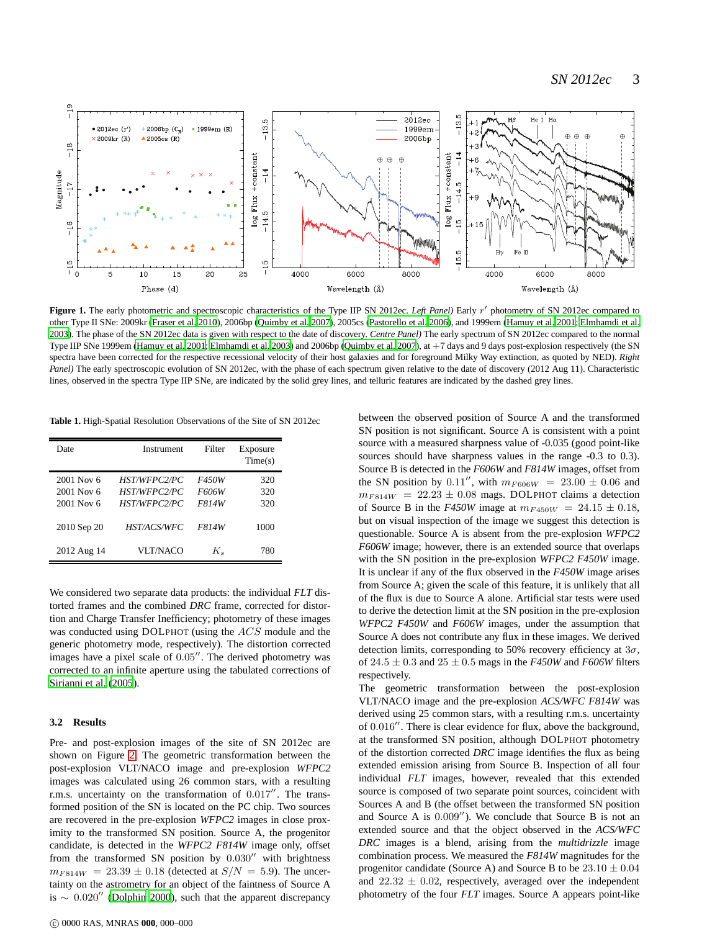

<span id="page-2-0"></span>Figure 1. The early photometric and spectroscopic characteristics of the Type IIP SN 2012ec. *Left Panel*) Early r' photometry of SN 2012ec compared to other Type II SNe: 2009kr [\(Fraser et al. 2010\)](#page-4-21), 2006bp [\(Quimby et al. 2007\)](#page-4-17), 2005cs [\(Pastorello et al. 2006](#page-4-4)), and 1999em [\(Hamuy et al. 2001](#page-4-16); [Elmhamdi et al.](#page-4-15) [2003](#page-4-15)). The phase of the SN 2012ec data is given with respect to the date of discovery. *Centre Panel)* The early spectrum of SN 2012ec compared to the normal Type IIP SNe 1999em [\(Hamuy et al. 2001;](#page-4-16) [Elmhamdi et al. 2003](#page-4-15)) and 2006bp [\(Quimby et al. 2007](#page-4-17)), at +7 days and 9 days post-explosion respectively (the SN spectra have been corrected for the respective recessional velocity of their host galaxies and for foreground Milky Way extinction, as quoted by NED). *Right Panel)* The early spectroscopic evolution of SN 2012ec, with the phase of each spectrum given relative to the date of discovery (2012 Aug 11). Characteristic lines, observed in the spectra Type IIP SNe, are indicated by the solid grey lines, and telluric features are indicated by the dashed grey lines.

<span id="page-2-1"></span>**Table 1.** High-Spatial Resolution Observations of the Site of SN 2012ec

| Date                                   | Instrument                                                        | Filter                         | Exposure<br>Time(s) |
|----------------------------------------|-------------------------------------------------------------------|--------------------------------|---------------------|
| 2001 Nov 6<br>2001 Nov 6<br>2001 Nov 6 | <b>HST/WFPC2/PC</b><br><b>HST/WFPC2/PC</b><br><b>HST/WFPC2/PC</b> | <i>F450W</i><br>F606W<br>F814W | 320<br>320<br>320   |
| 2010 Sep 20                            | <b>HST/ACS/WFC</b>                                                | <i>F814W</i>                   | 1000                |
| 2012 Aug 14                            | VLT/NACO                                                          | $K_{s}$                        | 780                 |

We considered two separate data products: the individual *FLT* distorted frames and the combined *DRC* frame, corrected for distortion and Charge Transfer Inefficiency; photometry of these images was conducted using DOLPHOT (using the ACS module and the generic photometry mode, respectively). The distortion corrected images have a pixel scale of 0.05′′. The derived photometry was corrected to an infinite aperture using the tabulated corrections of [Sirianni et al. \(2005](#page-4-22)).

#### **3.2 Results**

Pre- and post-explosion images of the site of SN 2012ec are shown on Figure [2.](#page-4-23) The geometric transformation between the post-explosion VLT/NACO image and pre-explosion *WFPC2* images was calculated using 26 common stars, with a resulting r.m.s. uncertainty on the transformation of 0.017′′. The transformed position of the SN is located on the PC chip. Two sources are recovered in the pre-explosion *WFPC2* images in close proximity to the transformed SN position. Source A, the progenitor candidate, is detected in the *WFPC2 F814W* image only, offset from the transformed SN position by  $0.030''$  with brightness  $m_{F814W} = 23.39 \pm 0.18$  (detected at  $S/N = 5.9$ ). The uncertainty on the astrometry for an object of the faintness of Source A is ∼ 0.020′′ [\(Dolphin 2000](#page-3-7)), such that the apparent discrepancy between the observed position of Source A and the transformed SN position is not significant. Source A is consistent with a point source with a measured sharpness value of -0.035 (good point-like sources should have sharpness values in the range -0.3 to 0.3). Source B is detected in the *F606W* and *F814W* images, offset from the SN position by 0.11", with  $m_{F606W} = 23.00 \pm 0.06$  and  $m_{F814W}$  = 22.23  $\pm$  0.08 mags. DOLPHOT claims a detection of Source B in the *F450W* image at  $m_{F450W} = 24.15 \pm 0.18$ , but on visual inspection of the image we suggest this detection is questionable. Source A is absent from the pre-explosion *WFPC2 F606W* image; however, there is an extended source that overlaps with the SN position in the pre-explosion *WFPC2 F450W* image. It is unclear if any of the flux observed in the *F450W* image arises from Source A; given the scale of this feature, it is unlikely that all of the flux is due to Source A alone. Artificial star tests were used to derive the detection limit at the SN position in the pre-explosion *WFPC2 F450W* and *F606W* images, under the assumption that Source A does not contribute any flux in these images. We derived detection limits, corresponding to 50% recovery efficiency at  $3\sigma$ , of  $24.5 \pm 0.3$  and  $25 \pm 0.5$  mags in the *F450W* and *F606W* filters respectively.

The geometric transformation between the post-explosion VLT/NACO image and the pre-explosion *ACS/WFC F814W* was derived using 25 common stars, with a resulting r.m.s. uncertainty of 0.016′′. There is clear evidence for flux, above the background, at the transformed SN position, although DOLPHOT photometry of the distortion corrected *DRC* image identifies the flux as being extended emission arising from Source B. Inspection of all four individual *FLT* images, however, revealed that this extended source is composed of two separate point sources, coincident with Sources A and B (the offset between the transformed SN position and Source A is 0.009′′). We conclude that Source B is not an extended source and that the object observed in the *ACS/WFC DRC* images is a blend, arising from the *multidrizzle* image combination process. We measured the *F814W* magnitudes for the progenitor candidate (Source A) and Source B to be  $23.10 \pm 0.04$ and  $22.32 \pm 0.02$ , respectively, averaged over the independent photometry of the four *FLT* images. Source A appears point-like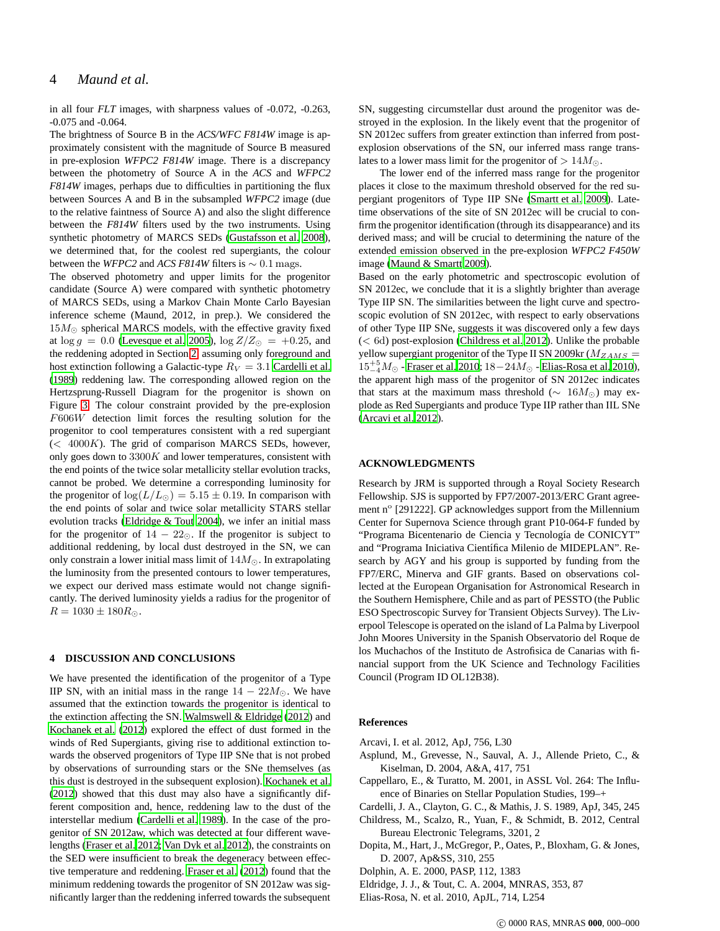in all four *FLT* images, with sharpness values of -0.072, -0.263, -0.075 and -0.064.

The brightness of Source B in the *ACS/WFC F814W* image is approximately consistent with the magnitude of Source B measured in pre-explosion *WFPC2 F814W* image. There is a discrepancy between the photometry of Source A in the *ACS* and *WFPC2 F814W* images, perhaps due to difficulties in partitioning the flux between Sources A and B in the subsampled *WFPC2* image (due to the relative faintness of Source A) and also the slight difference between the *F814W* filters used by the two instruments. Using synthetic photometry of MARCS SEDs [\(Gustafsson et al. 2008](#page-4-24)), we determined that, for the coolest red supergiants, the colour between the *WFPC2* and *ACS F814W* filters is  $\sim 0.1$  mags.

The observed photometry and upper limits for the progenitor candidate (Source A) were compared with synthetic photometry of MARCS SEDs, using a Markov Chain Monte Carlo Bayesian inference scheme (Maund, 2012, in prep.). We considered the  $15M_{\odot}$  spherical MARCS models, with the effective gravity fixed at  $\log g = 0.0$  [\(Levesque et al. 2005](#page-4-25)),  $\log Z/Z_{\odot} = +0.25$ , and the reddening adopted in Section [2,](#page-1-10) assuming only foreground and host extinction following a Galactic-type  $R_V = 3.1$  [Cardelli et al.](#page-3-6) [\(1989](#page-3-6)) reddening law. The corresponding allowed region on the Hertzsprung-Russell Diagram for the progenitor is shown on Figure [3.](#page-4-26) The colour constraint provided by the pre-explosion F606W detection limit forces the resulting solution for the progenitor to cool temperatures consistent with a red supergiant  $(< 4000K)$ . The grid of comparison MARCS SEDs, however, only goes down to  $3300K$  and lower temperatures, consistent with the end points of the twice solar metallicity stellar evolution tracks, cannot be probed. We determine a corresponding luminosity for the progenitor of  $\log(L/L_{\odot}) = 5.15 \pm 0.19$ . In comparison with the end points of solar and twice solar metallicity STARS stellar evolution tracks [\(Eldridge & Tout 2004\)](#page-3-1), we infer an initial mass for the progenitor of  $14 - 22$ ⊙. If the progenitor is subject to additional reddening, by local dust destroyed in the SN, we can only constrain a lower initial mass limit of  $14M_{\odot}$ . In extrapolating the luminosity from the presented contours to lower temperatures, we expect our derived mass estimate would not change significantly. The derived luminosity yields a radius for the progenitor of  $R = 1030 \pm 180 R_{\odot}.$ 

## **4 DISCUSSION AND CONCLUSIONS**

We have presented the identification of the progenitor of a Type IIP SN, with an initial mass in the range  $14 - 22M_{\odot}$ . We have assumed that the extinction towards the progenitor is identical to the extinction affecting the SN. [Walmswell & Eldridge \(2012\)](#page-4-27) and [Kochanek et al. \(2012](#page-4-28)) explored the effect of dust formed in the winds of Red Supergiants, giving rise to additional extinction towards the observed progenitors of Type IIP SNe that is not probed by observations of surrounding stars or the SNe themselves (as this dust is destroyed in the subsequent explosion). [Kochanek et al.](#page-4-28) [\(2012](#page-4-28)) showed that this dust may also have a significantly different composition and, hence, reddening law to the dust of the interstellar medium [\(Cardelli et al. 1989](#page-3-6)). In the case of the progenitor of SN 2012aw, which was detected at four different wavelengths [\(Fraser et al. 2012](#page-4-29); [Van Dyk et al. 2012\)](#page-4-30), the constraints on the SED were insufficient to break the degeneracy between effective temperature and reddening. [Fraser et al. \(2012](#page-4-29)) found that the minimum reddening towards the progenitor of SN 2012aw was significantly larger than the reddening inferred towards the subsequent SN, suggesting circumstellar dust around the progenitor was destroyed in the explosion. In the likely event that the progenitor of SN 2012ec suffers from greater extinction than inferred from postexplosion observations of the SN, our inferred mass range translates to a lower mass limit for the progenitor of  $> 14M_{\odot}$ .

The lower end of the inferred mass range for the progenitor places it close to the maximum threshold observed for the red supergiant progenitors of Type IIP SNe [\(Smartt et al. 2009](#page-4-5)). Latetime observations of the site of SN 2012ec will be crucial to confirm the progenitor identification (through its disappearance) and its derived mass; and will be crucial to determining the nature of the extended emission observed in the pre-explosion *WFPC2 F450W* image [\(Maund & Smartt 2009](#page-4-3)).

Based on the early photometric and spectroscopic evolution of SN 2012ec, we conclude that it is a slightly brighter than average Type IIP SN. The similarities between the light curve and spectroscopic evolution of SN 2012ec, with respect to early observations of other Type IIP SNe, suggests it was discovered only a few days (< 6d) post-explosion [\(Childress et al. 2012](#page-3-2)). Unlike the probable yellow supergiant progenitor of the Type II SN 2009kr ( $M_{ZAMS}$  =  $15^{+5}_{-4}M_{\odot}$  - [Fraser et al. 2010;](#page-4-21) 18−24 $M_{\odot}$  - [Elias-Rosa et al. 2010](#page-3-8)), the apparent high mass of the progenitor of SN 2012ec indicates that stars at the maximum mass threshold ( $\sim 16M_{\odot}$ ) may explode as Red Supergiants and produce Type IIP rather than IIL SNe [\(Arcavi et al. 2012](#page-3-4)).

### **ACKNOWLEDGMENTS**

Research by JRM is supported through a Royal Society Research Fellowship. SJS is supported by FP7/2007-2013/ERC Grant agreement nº [291222]. GP acknowledges support from the Millennium Center for Supernova Science through grant P10-064-F funded by "Programa Bicentenario de Ciencia y Tecnología de CONICYT" and "Programa Iniciativa Científica Milenio de MIDEPLAN". Research by AGY and his group is supported by funding from the FP7/ERC, Minerva and GIF grants. Based on observations collected at the European Organisation for Astronomical Research in the Southern Hemisphere, Chile and as part of PESSTO (the Public ESO Spectroscopic Survey for Transient Objects Survey). The Liverpool Telescope is operated on the island of La Palma by Liverpool John Moores University in the Spanish Observatorio del Roque de los Muchachos of the Instituto de Astrofisica de Canarias with financial support from the UK Science and Technology Facilities Council (Program ID OL12B38).

#### **References**

<span id="page-3-4"></span>Arcavi, I. et al. 2012, ApJ, 756, L30

- <span id="page-3-3"></span>Asplund, M., Grevesse, N., Sauval, A. J., Allende Prieto, C., & Kiselman, D. 2004, A&A, 417, 751
- <span id="page-3-0"></span>Cappellaro, E., & Turatto, M. 2001, in ASSL Vol. 264: The Influence of Binaries on Stellar Population Studies, 199–+
- <span id="page-3-6"></span>Cardelli, J. A., Clayton, G. C., & Mathis, J. S. 1989, ApJ, 345, 245
- <span id="page-3-2"></span>Childress, M., Scalzo, R., Yuan, F., & Schmidt, B. 2012, Central Bureau Electronic Telegrams, 3201, 2
- <span id="page-3-5"></span>Dopita, M., Hart, J., McGregor, P., Oates, P., Bloxham, G. & Jones, D. 2007, Ap&SS, 310, 255
- <span id="page-3-7"></span>Dolphin, A. E. 2000, PASP, 112, 1383
- <span id="page-3-1"></span>Eldridge, J. J., & Tout, C. A. 2004, MNRAS, 353, 87
- <span id="page-3-8"></span>Elias-Rosa, N. et al. 2010, ApJL, 714, L254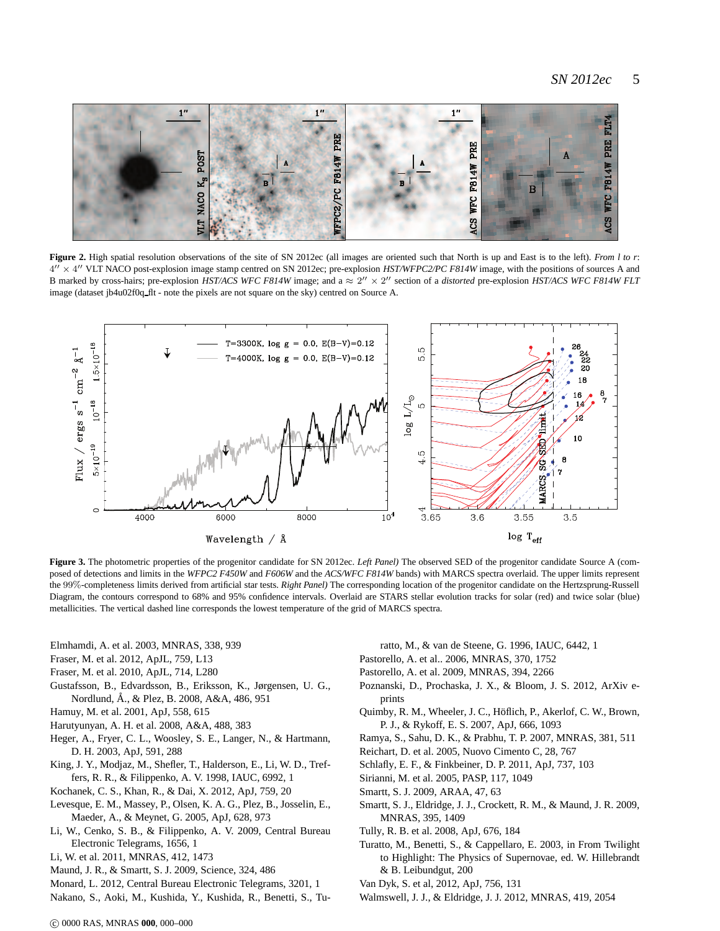# *SN 2012ec* 5



<span id="page-4-23"></span>Figure 2. High spatial resolution observations of the site of SN 2012ec (all images are oriented such that North is up and East is to the left). *From l to r*:  $4'' \times 4''$  VLT NACO post-explosion image stamp centred on SN 2012ec; pre-explosion *HST/WFPC2/PC F814W* image, with the positions of sources A and B marked by cross-hairs; pre-explosion *HST/ACS WFC F814W* image; and a  $\approx 2'' \times 2''$  section of a *distorted* pre-explosion *HST/ACS WFC F814W FLT* image (dataset jb4u02f0q\_flt - note the pixels are not square on the sky) centred on Source A.



<span id="page-4-26"></span>**Figure 3.** The photometric properties of the progenitor candidate for SN 2012ec. *Left Panel)* The observed SED of the progenitor candidate Source A (composed of detections and limits in the *WFPC2 F450W* and *F606W* and the *ACS/WFC F814W* bands) with MARCS spectra overlaid. The upper limits represent the 99%-completeness limits derived from artificial star tests. *Right Panel)* The corresponding location of the progenitor candidate on the Hertzsprung-Russell Diagram, the contours correspond to 68% and 95% confidence intervals. Overlaid are STARS stellar evolution tracks for solar (red) and twice solar (blue) metallicities. The vertical dashed line corresponds the lowest temperature of the grid of MARCS spectra.

- <span id="page-4-15"></span>Elmhamdi, A. et al. 2003, MNRAS, 338, 939
- <span id="page-4-29"></span>Fraser, M. et al. 2012, ApJL, 759, L13
- <span id="page-4-21"></span>Fraser, M. et al. 2010, ApJL, 714, L280
- <span id="page-4-24"></span>Gustafsson, B., Edvardsson, B., Eriksson, K., Jørgensen, U. G., Nordlund, A., & Plez, B. 2008, A&A, 486, 951 ˚
- <span id="page-4-16"></span>Hamuy, M. et al. 2001, ApJ, 558, 615
- <span id="page-4-14"></span>Harutyunyan, A. H. et al. 2008, A&A, 488, 383
- <span id="page-4-1"></span>Heger, A., Fryer, C. L., Woosley, S. E., Langer, N., & Hartmann, D. H. 2003, ApJ, 591, 288
- <span id="page-4-8"></span>King, J. Y., Modjaz, M., Shefler, T., Halderson, E., Li, W. D., Treffers, R. R., & Filippenko, A. V. 1998, IAUC, 6992, 1
- <span id="page-4-28"></span>Kochanek, C. S., Khan, R., & Dai, X. 2012, ApJ, 759, 20
- <span id="page-4-25"></span>Levesque, E. M., Massey, P., Olsen, K. A. G., Plez, B., Josselin, E., Maeder, A., & Meynet, G. 2005, ApJ, 628, 973
- <span id="page-4-7"></span>Li, W., Cenko, S. B., & Filippenko, A. V. 2009, Central Bureau Electronic Telegrams, 1656, 1
- <span id="page-4-0"></span>Li, W. et al. 2011, MNRAS, 412, 1473
- <span id="page-4-3"></span>Maund, J. R., & Smartt, S. J. 2009, Science, 324, 486
- <span id="page-4-6"></span>Monard, L. 2012, Central Bureau Electronic Telegrams, 3201, 1
- <span id="page-4-9"></span>Nakano, S., Aoki, M., Kushida, Y., Kushida, R., Benetti, S., Tu-

ratto, M., & van de Steene, G. 1996, IAUC, 6442, 1

<span id="page-4-4"></span>Pastorello, A. et al.. 2006, MNRAS, 370, 1752

<span id="page-4-18"></span>Pastorello, A. et al. 2009, MNRAS, 394, 2266

- <span id="page-4-20"></span>Poznanski, D., Prochaska, J. X., & Bloom, J. S. 2012, ArXiv eprints
- <span id="page-4-17"></span>Quimby, R. M., Wheeler, J. C., Höflich, P., Akerlof, C. W., Brown, P. J., & Rykoff, E. S. 2007, ApJ, 666, 1093
- <span id="page-4-11"></span>Ramya, S., Sahu, D. K., & Prabhu, T. P. 2007, MNRAS, 381, 511
- <span id="page-4-13"></span>Reichart, D. et al. 2005, Nuovo Cimento C, 28, 767
- <span id="page-4-12"></span>Schlafly, E. F., & Finkbeiner, D. P. 2011, ApJ, 737, 103
- <span id="page-4-22"></span>Sirianni, M. et al. 2005, PASP, 117, 1049
- <span id="page-4-2"></span>Smartt, S. J. 2009, ARAA, 47, 63
- <span id="page-4-5"></span>Smartt, S. J., Eldridge, J. J., Crockett, R. M., & Maund, J. R. 2009, MNRAS, 395, 1409
- <span id="page-4-10"></span>Tully, R. B. et al. 2008, ApJ, 676, 184
- <span id="page-4-19"></span>Turatto, M., Benetti, S., & Cappellaro, E. 2003, in From Twilight to Highlight: The Physics of Supernovae, ed. W. Hillebrandt & B. Leibundgut, 200
- <span id="page-4-30"></span>Van Dyk, S. et al, 2012, ApJ, 756, 131
- <span id="page-4-27"></span>Walmswell, J. J., & Eldridge, J. J. 2012, MNRAS, 419, 2054